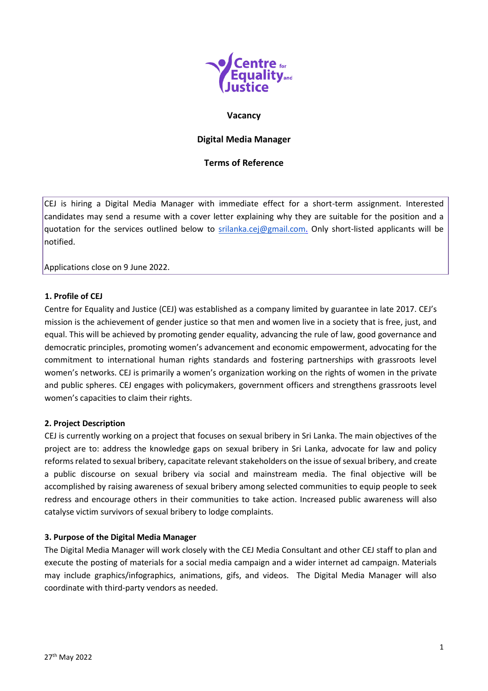

### **Vacancy**

# **Digital Media Manager**

## **Terms of Reference**

CEJ is hiring a Digital Media Manager with immediate effect for a short-term assignment. Interested candidates may send a resume with a cover letter explaining why they are suitable for the position and a quotation for the services outlined below to [srilanka.cej@gmail.com.](mailto:srilanka.cej@gmail.com) Only short-listed applicants will be notified.

Applications close on 9 June 2022.

#### **1. Profile of CEJ**

Centre for Equality and Justice (CEJ) was established as a company limited by guarantee in late 2017. CEJ's mission is the achievement of gender justice so that men and women live in a society that is free, just, and equal. This will be achieved by promoting gender equality, advancing the rule of law, good governance and democratic principles, promoting women's advancement and economic empowerment, advocating for the commitment to international human rights standards and fostering partnerships with grassroots level women's networks. CEJ is primarily a women's organization working on the rights of women in the private and public spheres. CEJ engages with policymakers, government officers and strengthens grassroots level women's capacities to claim their rights.

### **2. Project Description**

CEJ is currently working on a project that focuses on sexual bribery in Sri Lanka. The main objectives of the project are to: address the knowledge gaps on sexual bribery in Sri Lanka, advocate for law and policy reforms related to sexual bribery, capacitate relevant stakeholders on the issue of sexual bribery, and create a public discourse on sexual bribery via social and mainstream media. The final objective will be accomplished by raising awareness of sexual bribery among selected communities to equip people to seek redress and encourage others in their communities to take action. Increased public awareness will also catalyse victim survivors of sexual bribery to lodge complaints.

### **3. Purpose of the Digital Media Manager**

The Digital Media Manager will work closely with the CEJ Media Consultant and other CEJ staff to plan and execute the posting of materials for a social media campaign and a wider internet ad campaign. Materials may include graphics/infographics, animations, gifs, and videos. The Digital Media Manager will also coordinate with third-party vendors as needed.